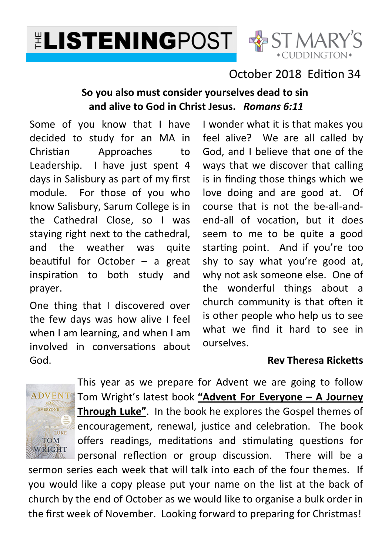



# October 2018 Fdition 34

#### **So you also must consider yourselves dead to sin and alive to God in Christ Jesus.** *Romans 6:11*

Some of you know that I have decided to study for an MA in Christian Approaches to Leadership. I have just spent 4 days in Salisbury as part of my first module. For those of you who know Salisbury, Sarum College is in the Cathedral Close, so I was staying right next to the cathedral, and the weather was quite beautiful for October  $-$  a great inspiration to both study and prayer.

One thing that I discovered over the few days was how alive I feel when I am learning, and when I am involved in conversations about God.

I wonder what it is that makes you feel alive? We are all called by God, and I believe that one of the ways that we discover that calling is in finding those things which we love doing and are good at. Of course that is not the be-all-andend-all of vocation, but it does seem to me to be quite a good starting point. And if you're too shy to say what you're good at, why not ask someone else. One of the wonderful things about a church community is that often it is other people who help us to see what we find it hard to see in ourselves.

#### **Rev Theresa Ricketts**



This year as we prepare for Advent we are going to follow Tom Wright's latest book **"Advent For Everyone – A Journey Through Luke"**. In the book he explores the Gospel themes of encouragement, renewal, justice and celebration. The book offers readings, meditations and stimulating questions for personal reflection or group discussion. There will be a

sermon series each week that will talk into each of the four themes. If you would like a copy please put your name on the list at the back of church by the end of October as we would like to organise a bulk order in the first week of November. Looking forward to preparing for Christmas!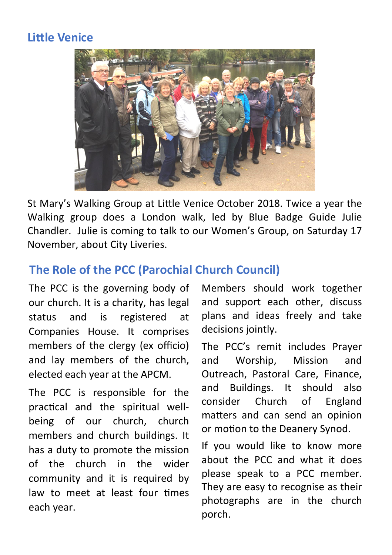# **Little Venice**



St Mary's Walking Group at Little Venice October 2018. Twice a year the Walking group does a London walk, led by Blue Badge Guide Julie Chandler. Julie is coming to talk to our Women's Group, on Saturday 17 November, about City Liveries.

# **The Role of the PCC (Parochial Church Council)**

The PCC is the governing body of our church. It is a charity, has legal status and is registered at Companies House. It comprises members of the clergy (ex officio) and lay members of the church, elected each year at the APCM.

The PCC is responsible for the practical and the spiritual wellbeing of our church, church members and church buildings. It has a duty to promote the mission of the church in the wider community and it is required by law to meet at least four times each year.

Members should work together and support each other, discuss plans and ideas freely and take decisions jointly.

The PCC's remit includes Prayer and Worship, Mission and Outreach, Pastoral Care, Finance, and Buildings. It should also consider Church of England matters and can send an opinion or motion to the Deanery Synod.

If you would like to know more about the PCC and what it does please speak to a PCC member. They are easy to recognise as their photographs are in the church porch.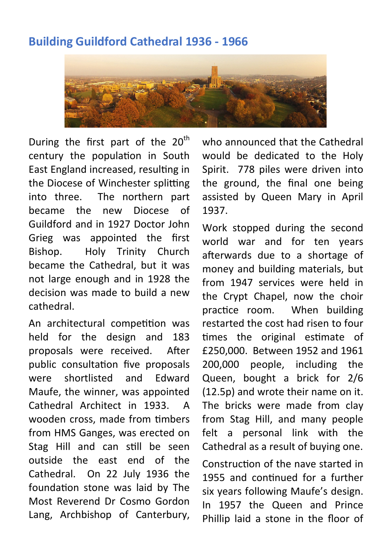# **Building Guildford Cathedral 1936 - 1966**



During the first part of the  $20<sup>th</sup>$ century the population in South East England increased, resulting in the Diocese of Winchester splitting into three. The northern part became the new Diocese of Guildford and in 1927 Doctor John Grieg was appointed the first Bishop. Holy Trinity Church became the Cathedral, but it was not large enough and in 1928 the decision was made to build a new cathedral.

An architectural competition was held for the design and 183 proposals were received. After public consultation five proposals were shortlisted and Edward Maufe, the winner, was appointed Cathedral Architect in 1933. A wooden cross, made from timbers from HMS Ganges, was erected on Stag Hill and can still be seen outside the east end of the Cathedral. On 22 July 1936 the foundation stone was laid by The Most Reverend Dr Cosmo Gordon Lang, Archbishop of Canterbury,

who announced that the Cathedral would be dedicated to the Holy Spirit. 778 piles were driven into the ground, the final one being assisted by Queen Mary in April 1937.

Work stopped during the second world war and for ten years afterwards due to a shortage of money and building materials, but from 1947 services were held in the Crypt Chapel, now the choir practice room. When building restarted the cost had risen to four times the original estimate of £250,000. Between 1952 and 1961 200,000 people, including the Queen, bought a brick for 2/6 (12.5p) and wrote their name on it. The bricks were made from clay from Stag Hill, and many people felt a personal link with the Cathedral as a result of buying one.

Construction of the nave started in 1955 and continued for a further six years following Maufe's design. In 1957 the Queen and Prince Phillip laid a stone in the floor of